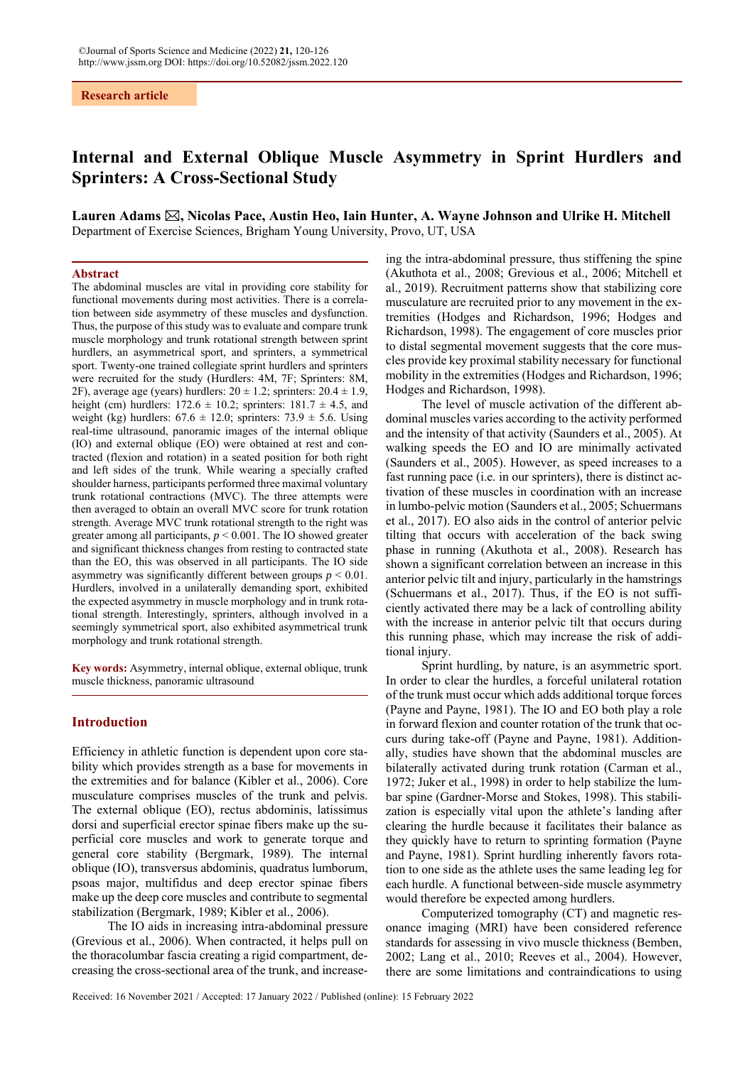# **Internal and External Oblique Muscle Asymmetry in Sprint Hurdlers and Sprinters: A Cross-Sectional Study**

Lauren Adams  $\boxtimes$ , Nicolas Pace, Austin Heo, Iain Hunter, A. Wayne Johnson and Ulrike H. Mitchell Department of Exercise Sciences, Brigham Young University, Provo, UT, USA

## **Abstract**

The abdominal muscles are vital in providing core stability for functional movements during most activities. There is a correlation between side asymmetry of these muscles and dysfunction. Thus, the purpose of this study was to evaluate and compare trunk muscle morphology and trunk rotational strength between sprint hurdlers, an asymmetrical sport, and sprinters, a symmetrical sport. Twenty-one trained collegiate sprint hurdlers and sprinters were recruited for the study (Hurdlers: 4M, 7F; Sprinters: 8M, 2F), average age (years) hurdlers:  $20 \pm 1.2$ ; sprinters:  $20.4 \pm 1.9$ , height (cm) hurdlers:  $172.6 \pm 10.2$ ; sprinters:  $181.7 \pm 4.5$ , and weight (kg) hurdlers:  $67.6 \pm 12.0$ ; sprinters:  $73.9 \pm 5.6$ . Using real-time ultrasound, panoramic images of the internal oblique (IO) and external oblique (EO) were obtained at rest and contracted (flexion and rotation) in a seated position for both right and left sides of the trunk. While wearing a specially crafted shoulder harness, participants performed three maximal voluntary trunk rotational contractions (MVC). The three attempts were then averaged to obtain an overall MVC score for trunk rotation strength. Average MVC trunk rotational strength to the right was greater among all participants, *p* < 0.001. The IO showed greater and significant thickness changes from resting to contracted state than the EO, this was observed in all participants. The IO side asymmetry was significantly different between groups  $p \leq 0.01$ . Hurdlers, involved in a unilaterally demanding sport, exhibited the expected asymmetry in muscle morphology and in trunk rotational strength. Interestingly, sprinters, although involved in a seemingly symmetrical sport, also exhibited asymmetrical trunk morphology and trunk rotational strength.

**Key words:** Asymmetry, internal oblique, external oblique, trunk muscle thickness, panoramic ultrasound

### **Introduction**

Efficiency in athletic function is dependent upon core stability which provides strength as a base for movements in the extremities and for balance (Kibler et al., 2006). Core musculature comprises muscles of the trunk and pelvis. The external oblique (EO), rectus abdominis, latissimus dorsi and superficial erector spinae fibers make up the superficial core muscles and work to generate torque and general core stability (Bergmark, 1989). The internal oblique (IO), transversus abdominis, quadratus lumborum, psoas major, multifidus and deep erector spinae fibers make up the deep core muscles and contribute to segmental stabilization (Bergmark, 1989; Kibler et al., 2006).

The IO aids in increasing intra-abdominal pressure (Grevious et al., 2006). When contracted, it helps pull on the thoracolumbar fascia creating a rigid compartment, decreasing the cross-sectional area of the trunk, and increaseing the intra-abdominal pressure, thus stiffening the spine (Akuthota et al., 2008; Grevious et al., 2006; Mitchell et al., 2019). Recruitment patterns show that stabilizing core musculature are recruited prior to any movement in the extremities (Hodges and Richardson, 1996; Hodges and Richardson, 1998). The engagement of core muscles prior to distal segmental movement suggests that the core muscles provide key proximal stability necessary for functional mobility in the extremities (Hodges and Richardson, 1996; Hodges and Richardson, 1998).

The level of muscle activation of the different abdominal muscles varies according to the activity performed and the intensity of that activity (Saunders et al., 2005). At walking speeds the EO and IO are minimally activated (Saunders et al., 2005). However, as speed increases to a fast running pace (i.e. in our sprinters), there is distinct activation of these muscles in coordination with an increase in lumbo-pelvic motion (Saunders et al., 2005; Schuermans et al., 2017). EO also aids in the control of anterior pelvic tilting that occurs with acceleration of the back swing phase in running (Akuthota et al., 2008). Research has shown a significant correlation between an increase in this anterior pelvic tilt and injury, particularly in the hamstrings (Schuermans et al., 2017). Thus, if the EO is not sufficiently activated there may be a lack of controlling ability with the increase in anterior pelvic tilt that occurs during this running phase, which may increase the risk of additional injury.

Sprint hurdling, by nature, is an asymmetric sport. In order to clear the hurdles, a forceful unilateral rotation of the trunk must occur which adds additional torque forces (Payne and Payne, 1981). The IO and EO both play a role in forward flexion and counter rotation of the trunk that occurs during take-off (Payne and Payne, 1981). Additionally, studies have shown that the abdominal muscles are bilaterally activated during trunk rotation (Carman et al., 1972; Juker et al., 1998) in order to help stabilize the lumbar spine (Gardner-Morse and Stokes, 1998). This stabilization is especially vital upon the athlete's landing after clearing the hurdle because it facilitates their balance as they quickly have to return to sprinting formation (Payne and Payne, 1981). Sprint hurdling inherently favors rotation to one side as the athlete uses the same leading leg for each hurdle. A functional between-side muscle asymmetry would therefore be expected among hurdlers.

Computerized tomography (CT) and magnetic resonance imaging (MRI) have been considered reference standards for assessing in vivo muscle thickness (Bemben, 2002; Lang et al., 2010; Reeves et al., 2004). However, there are some limitations and contraindications to using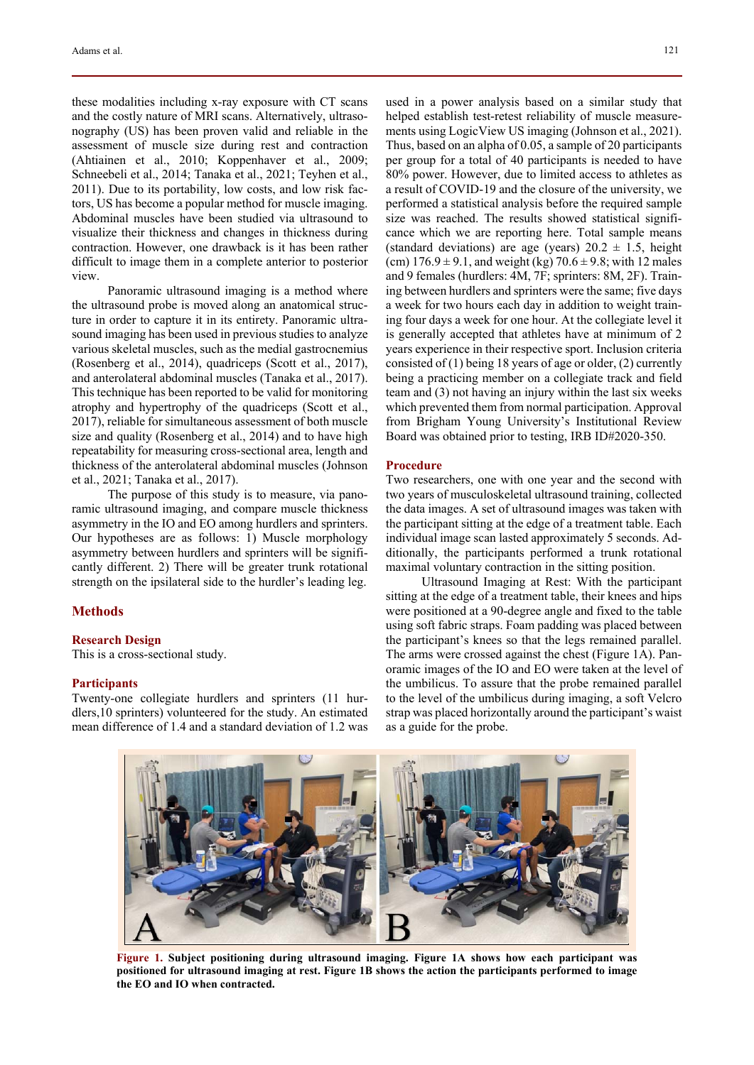these modalities including x-ray exposure with CT scans and the costly nature of MRI scans. Alternatively, ultrasonography (US) has been proven valid and reliable in the assessment of muscle size during rest and contraction (Ahtiainen et al., 2010; Koppenhaver et al., 2009; Schneebeli et al., 2014; Tanaka et al., 2021; Teyhen et al., 2011). Due to its portability, low costs, and low risk factors, US has become a popular method for muscle imaging. Abdominal muscles have been studied via ultrasound to visualize their thickness and changes in thickness during contraction. However, one drawback is it has been rather difficult to image them in a complete anterior to posterior view.

Panoramic ultrasound imaging is a method where the ultrasound probe is moved along an anatomical structure in order to capture it in its entirety. Panoramic ultrasound imaging has been used in previous studies to analyze various skeletal muscles, such as the medial gastrocnemius (Rosenberg et al., 2014), quadriceps (Scott et al., 2017), and anterolateral abdominal muscles (Tanaka et al., 2017). This technique has been reported to be valid for monitoring atrophy and hypertrophy of the quadriceps (Scott et al., 2017), reliable for simultaneous assessment of both muscle size and quality (Rosenberg et al., 2014) and to have high repeatability for measuring cross-sectional area, length and thickness of the anterolateral abdominal muscles (Johnson et al., 2021; Tanaka et al., 2017).

The purpose of this study is to measure, via panoramic ultrasound imaging, and compare muscle thickness asymmetry in the IO and EO among hurdlers and sprinters. Our hypotheses are as follows: 1) Muscle morphology asymmetry between hurdlers and sprinters will be significantly different. 2) There will be greater trunk rotational strength on the ipsilateral side to the hurdler's leading leg.

# **Methods**

#### **Research Design**

This is a cross-sectional study.

#### **Participants**

Twenty-one collegiate hurdlers and sprinters (11 hurdlers,10 sprinters) volunteered for the study. An estimated mean difference of 1.4 and a standard deviation of 1.2 was used in a power analysis based on a similar study that helped establish test-retest reliability of muscle measurements using LogicView US imaging (Johnson et al., 2021). Thus, based on an alpha of 0.05, a sample of 20 participants per group for a total of 40 participants is needed to have 80% power. However, due to limited access to athletes as a result of COVID-19 and the closure of the university, we performed a statistical analysis before the required sample size was reached. The results showed statistical significance which we are reporting here. Total sample means (standard deviations) are age (years)  $20.2 \pm 1.5$ , height (cm)  $176.9 \pm 9.1$ , and weight (kg)  $70.6 \pm 9.8$ ; with 12 males and 9 females (hurdlers: 4M, 7F; sprinters: 8M, 2F). Training between hurdlers and sprinters were the same; five days a week for two hours each day in addition to weight training four days a week for one hour. At the collegiate level it is generally accepted that athletes have at minimum of 2 years experience in their respective sport. Inclusion criteria consisted of  $(1)$  being 18 years of age or older,  $(2)$  currently being a practicing member on a collegiate track and field team and (3) not having an injury within the last six weeks which prevented them from normal participation. Approval from Brigham Young University's Institutional Review Board was obtained prior to testing, IRB ID#2020-350.

#### **Procedure**

Two researchers, one with one year and the second with two years of musculoskeletal ultrasound training, collected the data images. A set of ultrasound images was taken with the participant sitting at the edge of a treatment table. Each individual image scan lasted approximately 5 seconds. Additionally, the participants performed a trunk rotational maximal voluntary contraction in the sitting position.

Ultrasound Imaging at Rest: With the participant sitting at the edge of a treatment table, their knees and hips were positioned at a 90-degree angle and fixed to the table using soft fabric straps. Foam padding was placed between the participant's knees so that the legs remained parallel. The arms were crossed against the chest (Figure 1A). Panoramic images of the IO and EO were taken at the level of the umbilicus. To assure that the probe remained parallel to the level of the umbilicus during imaging, a soft Velcro strap was placed horizontally around the participant's waist as a guide for the probe.



**Figure 1. Subject positioning during ultrasound imaging. Figure 1A shows how each participant was positioned for ultrasound imaging at rest. Figure 1B shows the action the participants performed to image the EO and IO when contracted.**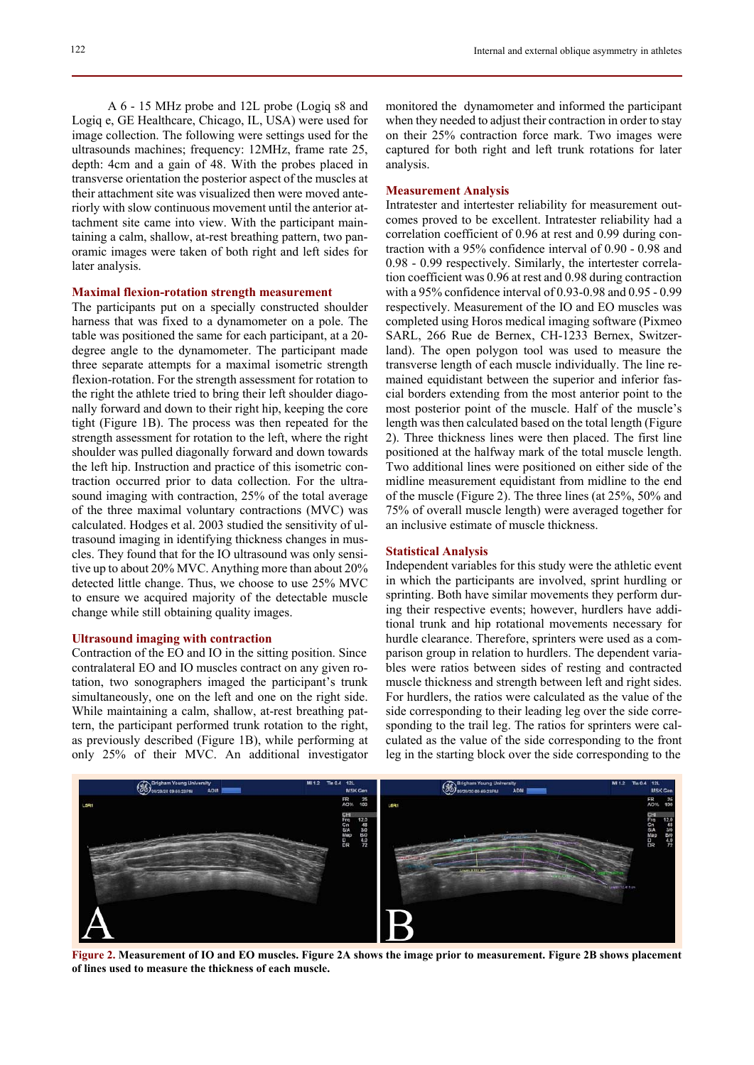A 6 - 15 MHz probe and 12L probe (Logiq s8 and Logiq e, GE Healthcare, Chicago, IL, USA) were used for image collection. The following were settings used for the ultrasounds machines; frequency: 12MHz, frame rate 25, depth: 4cm and a gain of 48. With the probes placed in transverse orientation the posterior aspect of the muscles at their attachment site was visualized then were moved anteriorly with slow continuous movement until the anterior attachment site came into view. With the participant maintaining a calm, shallow, at-rest breathing pattern, two panoramic images were taken of both right and left sides for later analysis.

#### **Maximal flexion-rotation strength measurement**

The participants put on a specially constructed shoulder harness that was fixed to a dynamometer on a pole. The table was positioned the same for each participant, at a 20 degree angle to the dynamometer. The participant made three separate attempts for a maximal isometric strength flexion-rotation. For the strength assessment for rotation to the right the athlete tried to bring their left shoulder diagonally forward and down to their right hip, keeping the core tight (Figure 1B). The process was then repeated for the strength assessment for rotation to the left, where the right shoulder was pulled diagonally forward and down towards the left hip. Instruction and practice of this isometric contraction occurred prior to data collection. For the ultrasound imaging with contraction, 25% of the total average of the three maximal voluntary contractions (MVC) was calculated. Hodges et al. 2003 studied the sensitivity of ultrasound imaging in identifying thickness changes in muscles. They found that for the IO ultrasound was only sensitive up to about 20% MVC. Anything more than about 20% detected little change. Thus, we choose to use 25% MVC to ensure we acquired majority of the detectable muscle change while still obtaining quality images.

#### **Ultrasound imaging with contraction**

Contraction of the EO and IO in the sitting position. Since contralateral EO and IO muscles contract on any given rotation, two sonographers imaged the participant's trunk simultaneously, one on the left and one on the right side. While maintaining a calm, shallow, at-rest breathing pattern, the participant performed trunk rotation to the right, as previously described (Figure 1B), while performing at only 25% of their MVC. An additional investigator monitored the dynamometer and informed the participant when they needed to adjust their contraction in order to stay on their 25% contraction force mark. Two images were captured for both right and left trunk rotations for later analysis.

#### **Measurement Analysis**

Intratester and intertester reliability for measurement outcomes proved to be excellent. Intratester reliability had a correlation coefficient of 0.96 at rest and 0.99 during contraction with a 95% confidence interval of 0.90 - 0.98 and 0.98 - 0.99 respectively. Similarly, the intertester correlation coefficient was 0.96 at rest and 0.98 during contraction with a 95% confidence interval of 0.93-0.98 and 0.95 - 0.99 respectively. Measurement of the IO and EO muscles was completed using Horos medical imaging software (Pixmeo SARL, 266 Rue de Bernex, CH-1233 Bernex, Switzerland). The open polygon tool was used to measure the transverse length of each muscle individually. The line remained equidistant between the superior and inferior fascial borders extending from the most anterior point to the most posterior point of the muscle. Half of the muscle's length was then calculated based on the total length (Figure 2). Three thickness lines were then placed. The first line positioned at the halfway mark of the total muscle length. Two additional lines were positioned on either side of the midline measurement equidistant from midline to the end of the muscle (Figure 2). The three lines (at 25%, 50% and 75% of overall muscle length) were averaged together for an inclusive estimate of muscle thickness.

## **Statistical Analysis**

Independent variables for this study were the athletic event in which the participants are involved, sprint hurdling or sprinting. Both have similar movements they perform during their respective events; however, hurdlers have additional trunk and hip rotational movements necessary for hurdle clearance. Therefore, sprinters were used as a comparison group in relation to hurdlers. The dependent variables were ratios between sides of resting and contracted muscle thickness and strength between left and right sides. For hurdlers, the ratios were calculated as the value of the side corresponding to their leading leg over the side corresponding to the trail leg. The ratios for sprinters were calculated as the value of the side corresponding to the front leg in the starting block over the side corresponding to the



**Figure 2. Measurement of IO and EO muscles. Figure 2A shows the image prior to measurement. Figure 2B shows placement of lines used to measure the thickness of each muscle.**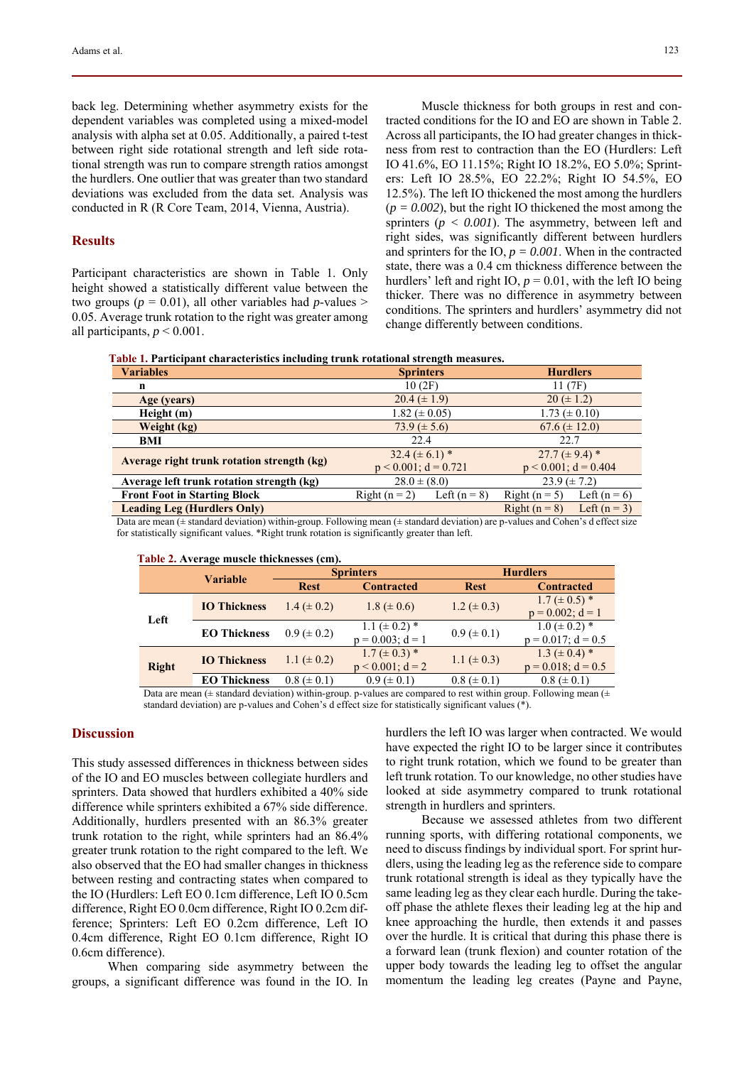back leg. Determining whether asymmetry exists for the dependent variables was completed using a mixed-model analysis with alpha set at 0.05. Additionally, a paired t-test between right side rotational strength and left side rotational strength was run to compare strength ratios amongst the hurdlers. One outlier that was greater than two standard deviations was excluded from the data set. Analysis was conducted in R (R Core Team, 2014, Vienna, Austria).

# **Results**

Participant characteristics are shown in Table 1. Only height showed a statistically different value between the two groups ( $p = 0.01$ ), all other variables had  $p$ -values > 0.05. Average trunk rotation to the right was greater among all participants,  $p < 0.001$ .

Muscle thickness for both groups in rest and contracted conditions for the IO and EO are shown in Table 2. Across all participants, the IO had greater changes in thickness from rest to contraction than the EO (Hurdlers: Left IO 41.6%, EO 11.15%; Right IO 18.2%, EO 5.0%; Sprinters: Left IO 28.5%, EO 22.2%; Right IO 54.5%, EO 12.5%). The left IO thickened the most among the hurdlers  $(p = 0.002)$ , but the right IO thickened the most among the sprinters (*p < 0.001*). The asymmetry, between left and right sides, was significantly different between hurdlers and sprinters for the IO,  $p = 0.001$ . When in the contracted state, there was a 0.4 cm thickness difference between the hurdlers' left and right IO,  $p = 0.01$ , with the left IO being thicker. There was no difference in asymmetry between conditions. The sprinters and hurdlers' asymmetry did not change differently between conditions.

|  |  |  |  |  | Table 1. Participant characteristics including trunk rotational strength measures. |
|--|--|--|--|--|------------------------------------------------------------------------------------|
|--|--|--|--|--|------------------------------------------------------------------------------------|

| <b>Variables</b>                           | <b>Sprinters</b>                  | <b>Hurdlers</b>                 |  |
|--------------------------------------------|-----------------------------------|---------------------------------|--|
| n                                          | 10(2F)                            | 11(7F)                          |  |
| Age (years)                                | $20.4 (\pm 1.9)$                  | $20 (\pm 1.2)$                  |  |
| Height (m)                                 | 1.82 ( $\pm$ 0.05)                | 1.73 ( $\pm$ 0.10)              |  |
| Weight (kg)                                | $73.9 (\pm 5.6)$                  | $67.6 \ (\pm 12.0)$             |  |
| BMI                                        | 22.4                              | 22.7                            |  |
| Average right trunk rotation strength (kg) | $32.4 (\pm 6.1)^*$                | 27.7 ( $\pm$ 9.4) *             |  |
|                                            | $p < 0.001$ ; d = 0.721           | $p < 0.001$ ; $d = 0.404$       |  |
| Average left trunk rotation strength (kg)  | $28.0 \pm (8.0)$                  | $23.9 (\pm 7.2)$                |  |
| <b>Front Foot in Starting Block</b>        | Left $(n = 8)$<br>Right $(n = 2)$ | Right $(n = 5)$<br>Left $(n=6)$ |  |
| <b>Leading Leg (Hurdlers Only)</b>         |                                   | Right $(n = 8)$<br>Left $(n=3)$ |  |

Data are mean (± standard deviation) within-group. Following mean (± standard deviation) are p-values and Cohen's d effect size for statistically significant values. \*Right trunk rotation is significantly greater than left.

|              | <b>Variable</b>     | <b>Table 2:</b> Trenage musele unemicsses (em <i>p</i> .<br><b>Sprinters</b> |                                               | <b>Hurdlers</b>   |                                                |
|--------------|---------------------|------------------------------------------------------------------------------|-----------------------------------------------|-------------------|------------------------------------------------|
|              |                     | <b>Rest</b>                                                                  | <b>Contracted</b>                             | <b>Rest</b>       | <b>Contracted</b>                              |
| Left         | <b>IO Thickness</b> | 1.4 ( $\pm$ 0.2)                                                             | $1.8 (\pm 0.6)$                               | 1.2 ( $\pm$ 0.3)  | $1.7 (\pm 0.5)^*$<br>$p = 0.002$ ; $d = 1$     |
|              | <b>EO Thickness</b> | $0.9 \ (\pm 0.2)$                                                            | 1.1 ( $\pm$ 0.2) $*$<br>$p = 0.003$ ; $d = 1$ | $0.9 \ (\pm 0.1)$ | $1.0 \ (\pm 0.2)^*$<br>$p = 0.017$ ; $d = 0.5$ |
| <b>Right</b> | <b>IO Thickness</b> | 1.1 ( $\pm$ 0.2)                                                             | $1.7 \ (\pm 0.3)^*$<br>$p < 0.001$ ; $d = 2$  | 1.1 ( $\pm$ 0.3)  | $1.3 \ (\pm 0.4)^*$<br>$p = 0.018$ ; $d = 0.5$ |
|              | <b>EO Thickness</b> | $0.8 (\pm 0.1)$                                                              | $0.9 \ (\pm 0.1)$                             | $0.8 (\pm 0.1)$   | $0.8 (\pm 0.1)$                                |

 **Table 2. Average muscle thicknesses (cm).** 

Data are mean ( $\pm$  standard deviation) within-group. p-values are compared to rest within group. Following mean ( $\pm$ standard deviation) are p-values and Cohen's d effect size for statistically significant values (\*).

## **Discussion**

This study assessed differences in thickness between sides of the IO and EO muscles between collegiate hurdlers and sprinters. Data showed that hurdlers exhibited a 40% side difference while sprinters exhibited a 67% side difference. Additionally, hurdlers presented with an 86.3% greater trunk rotation to the right, while sprinters had an 86.4% greater trunk rotation to the right compared to the left. We also observed that the EO had smaller changes in thickness between resting and contracting states when compared to the IO (Hurdlers: Left EO 0.1cm difference, Left IO 0.5cm difference, Right EO 0.0cm difference, Right IO 0.2cm difference; Sprinters: Left EO 0.2cm difference, Left IO 0.4cm difference, Right EO 0.1cm difference, Right IO 0.6cm difference).

When comparing side asymmetry between the groups, a significant difference was found in the IO. In hurdlers the left IO was larger when contracted. We would have expected the right IO to be larger since it contributes to right trunk rotation, which we found to be greater than left trunk rotation. To our knowledge, no other studies have looked at side asymmetry compared to trunk rotational strength in hurdlers and sprinters.

Because we assessed athletes from two different running sports, with differing rotational components, we need to discuss findings by individual sport. For sprint hurdlers, using the leading leg as the reference side to compare trunk rotational strength is ideal as they typically have the same leading leg as they clear each hurdle. During the takeoff phase the athlete flexes their leading leg at the hip and knee approaching the hurdle, then extends it and passes over the hurdle. It is critical that during this phase there is a forward lean (trunk flexion) and counter rotation of the upper body towards the leading leg to offset the angular momentum the leading leg creates (Payne and Payne,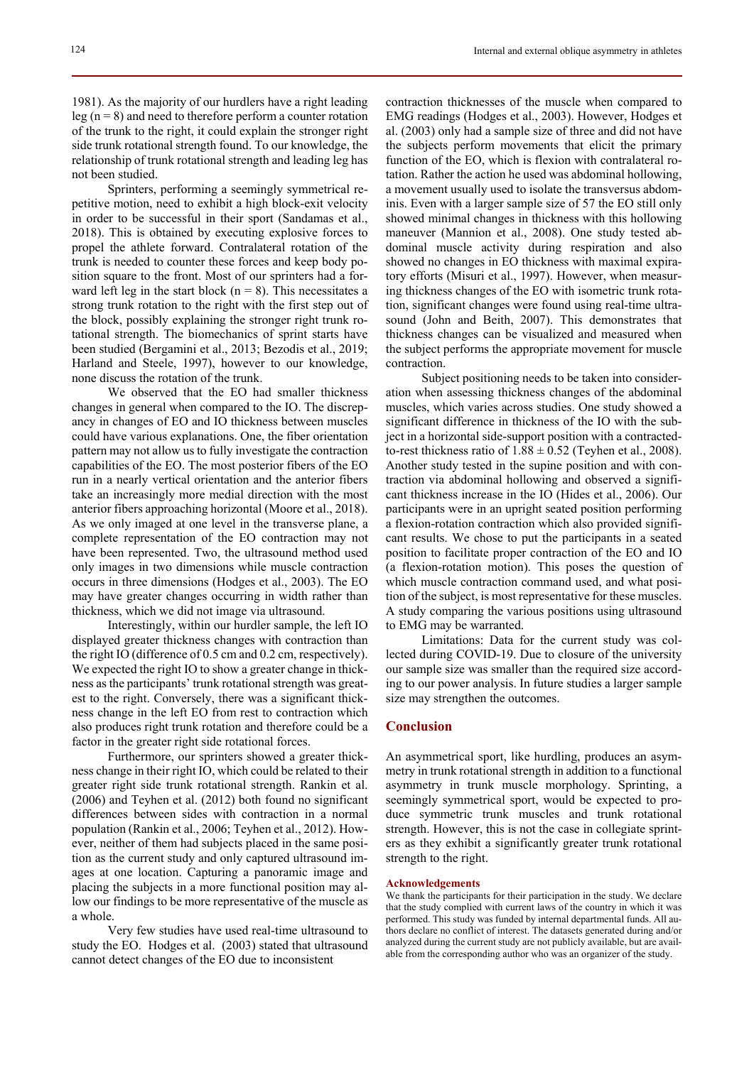1981). As the majority of our hurdlers have a right leading leg ( $n = 8$ ) and need to therefore perform a counter rotation of the trunk to the right, it could explain the stronger right side trunk rotational strength found. To our knowledge, the relationship of trunk rotational strength and leading leg has not been studied.

Sprinters, performing a seemingly symmetrical repetitive motion, need to exhibit a high block-exit velocity in order to be successful in their sport (Sandamas et al., 2018). This is obtained by executing explosive forces to propel the athlete forward. Contralateral rotation of the trunk is needed to counter these forces and keep body position square to the front. Most of our sprinters had a forward left leg in the start block ( $n = 8$ ). This necessitates a strong trunk rotation to the right with the first step out of the block, possibly explaining the stronger right trunk rotational strength. The biomechanics of sprint starts have been studied (Bergamini et al., 2013; Bezodis et al., 2019; Harland and Steele, 1997), however to our knowledge, none discuss the rotation of the trunk.

We observed that the EO had smaller thickness changes in general when compared to the IO. The discrepancy in changes of EO and IO thickness between muscles could have various explanations. One, the fiber orientation pattern may not allow us to fully investigate the contraction capabilities of the EO. The most posterior fibers of the EO run in a nearly vertical orientation and the anterior fibers take an increasingly more medial direction with the most anterior fibers approaching horizontal (Moore et al., 2018). As we only imaged at one level in the transverse plane, a complete representation of the EO contraction may not have been represented. Two, the ultrasound method used only images in two dimensions while muscle contraction occurs in three dimensions (Hodges et al., 2003). The EO may have greater changes occurring in width rather than thickness, which we did not image via ultrasound.

Interestingly, within our hurdler sample, the left IO displayed greater thickness changes with contraction than the right IO (difference of 0.5 cm and 0.2 cm, respectively). We expected the right IO to show a greater change in thickness as the participants' trunk rotational strength was greatest to the right. Conversely, there was a significant thickness change in the left EO from rest to contraction which also produces right trunk rotation and therefore could be a factor in the greater right side rotational forces.

Furthermore, our sprinters showed a greater thickness change in their right IO, which could be related to their greater right side trunk rotational strength. Rankin et al. (2006) and Teyhen et al. (2012) both found no significant differences between sides with contraction in a normal population (Rankin et al., 2006; Teyhen et al., 2012). However, neither of them had subjects placed in the same position as the current study and only captured ultrasound images at one location. Capturing a panoramic image and placing the subjects in a more functional position may allow our findings to be more representative of the muscle as a whole.

Very few studies have used real-time ultrasound to study the EO. Hodges et al. (2003) stated that ultrasound cannot detect changes of the EO due to inconsistent

contraction thicknesses of the muscle when compared to EMG readings (Hodges et al., 2003). However, Hodges et al. (2003) only had a sample size of three and did not have the subjects perform movements that elicit the primary function of the EO, which is flexion with contralateral rotation. Rather the action he used was abdominal hollowing, a movement usually used to isolate the transversus abdominis. Even with a larger sample size of 57 the EO still only showed minimal changes in thickness with this hollowing maneuver (Mannion et al., 2008). One study tested abdominal muscle activity during respiration and also showed no changes in EO thickness with maximal expiratory efforts (Misuri et al., 1997). However, when measuring thickness changes of the EO with isometric trunk rotation, significant changes were found using real-time ultrasound (John and Beith, 2007). This demonstrates that thickness changes can be visualized and measured when the subject performs the appropriate movement for muscle contraction.

Subject positioning needs to be taken into consideration when assessing thickness changes of the abdominal muscles, which varies across studies. One study showed a significant difference in thickness of the IO with the subject in a horizontal side-support position with a contractedto-rest thickness ratio of  $1.88 \pm 0.52$  (Teyhen et al., 2008). Another study tested in the supine position and with contraction via abdominal hollowing and observed a significant thickness increase in the IO (Hides et al., 2006). Our participants were in an upright seated position performing a flexion-rotation contraction which also provided significant results. We chose to put the participants in a seated position to facilitate proper contraction of the EO and IO (a flexion-rotation motion). This poses the question of which muscle contraction command used, and what position of the subject, is most representative for these muscles. A study comparing the various positions using ultrasound to EMG may be warranted.

Limitations: Data for the current study was collected during COVID-19. Due to closure of the university our sample size was smaller than the required size according to our power analysis. In future studies a larger sample size may strengthen the outcomes.

#### **Conclusion**

An asymmetrical sport, like hurdling, produces an asymmetry in trunk rotational strength in addition to a functional asymmetry in trunk muscle morphology. Sprinting, a seemingly symmetrical sport, would be expected to produce symmetric trunk muscles and trunk rotational strength. However, this is not the case in collegiate sprinters as they exhibit a significantly greater trunk rotational strength to the right.

#### **Acknowledgements**

We thank the participants for their participation in the study. We declare that the study complied with current laws of the country in which it was performed. This study was funded by internal departmental funds. All authors declare no conflict of interest. The datasets generated during and/or analyzed during the current study are not publicly available, but are available from the corresponding author who was an organizer of the study.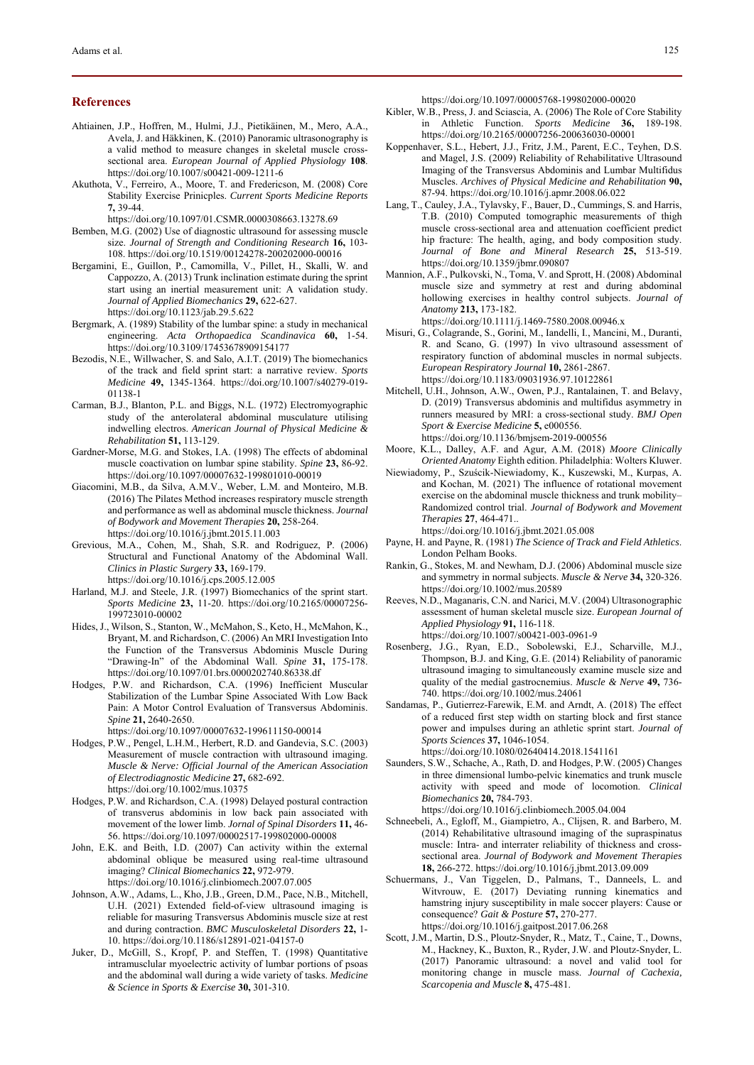#### **References**

- Ahtiainen, J.P., Hoffren, M., Hulmi, J.J., Pietikäinen, M., Mero, A.A., Avela, J. and Häkkinen, K. (2010) Panoramic ultrasonography is a valid method to measure changes in skeletal muscle crosssectional area. *European Journal of Applied Physiology* **108**. https://doi.org/10.1007/s00421-009-1211-6
- Akuthota, V., Ferreiro, A., Moore, T. and Fredericson, M. (2008) Core Stability Exercise Prinicples. *Current Sports Medicine Reports* **7,** 39-44.

https://doi.org/10.1097/01.CSMR.0000308663.13278.69

- Bemben, M.G. (2002) Use of diagnostic ultrasound for assessing muscle size. *Journal of Strength and Conditioning Research* **16,** 103- 108. https://doi.org/10.1519/00124278-200202000-00016
- Bergamini, E., Guillon, P., Camomilla, V., Pillet, H., Skalli, W. and Cappozzo, A. (2013) Trunk inclination estimate during the sprint start using an inertial measurement unit: A validation study. *Journal of Applied Biomechanics* **29,** 622-627. https://doi.org/10.1123/jab.29.5.622
- Bergmark, A. (1989) Stability of the lumbar spine: a study in mechanical engineering. *Acta Orthopaedica Scandinavica* **60,** 1-54. https://doi.org/10.3109/17453678909154177
- Bezodis, N.E., Willwacher, S. and Salo, A.I.T. (2019) The biomechanics of the track and field sprint start: a narrative review. *Sports Medicine* **49,** 1345-1364. https://doi.org/10.1007/s40279-019- 01138-1
- Carman, B.J., Blanton, P.L. and Biggs, N.L. (1972) Electromyographic study of the anterolateral abdominal musculature utilising indwelling electros. *American Journal of Physical Medicine & Rehabilitation* **51,** 113-129.
- Gardner-Morse, M.G. and Stokes, I.A. (1998) The effects of abdominal muscle coactivation on lumbar spine stability. *Spine* **23,** 86-92. https://doi.org/10.1097/00007632-199801010-00019
- Giacomini, M.B., da Silva, A.M.V., Weber, L.M. and Monteiro, M.B. (2016) The Pilates Method increases respiratory muscle strength and performance as well as abdominal muscle thickness. *Journal of Bodywork and Movement Therapies* **20,** 258-264. https://doi.org/10.1016/j.jbmt.2015.11.003
- Grevious, M.A., Cohen, M., Shah, S.R. and Rodriguez, P. (2006) Structural and Functional Anatomy of the Abdominal Wall. *Clinics in Plastic Surgery* **33,** 169-179. https://doi.org/10.1016/j.cps.2005.12.005
- Harland, M.J. and Steele, J.R. (1997) Biomechanics of the sprint start. *Sports Medicine* **23,** 11-20. https://doi.org/10.2165/00007256- 199723010-00002
- Hides, J., Wilson, S., Stanton, W., McMahon, S., Keto, H., McMahon, K., Bryant, M. and Richardson, C. (2006) An MRI Investigation Into the Function of the Transversus Abdominis Muscle During "Drawing-In" of the Abdominal Wall. *Spine* **31,** 175-178. https://doi.org/10.1097/01.brs.0000202740.86338.df
- Hodges, P.W. and Richardson, C.A. (1996) Inefficient Muscular Stabilization of the Lumbar Spine Associated With Low Back Pain: A Motor Control Evaluation of Transversus Abdominis. *Spine* **21,** 2640-2650.

https://doi.org/10.1097/00007632-199611150-00014

- Hodges, P.W., Pengel, L.H.M., Herbert, R.D. and Gandevia, S.C. (2003) Measurement of muscle contraction with ultrasound imaging. *Muscle & Nerve: Official Journal of the American Association of Electrodiagnostic Medicine* **27,** 682-692. https://doi.org/10.1002/mus.10375
- Hodges, P.W. and Richardson, C.A. (1998) Delayed postural contraction of transverus abdominis in low back pain associated with movement of the lower limb. *Jornal of Spinal Disorders* **11,** 46- 56. https://doi.org/10.1097/00002517-199802000-00008
- John, E.K. and Beith, I.D. (2007) Can activity within the external abdominal oblique be measured using real-time ultrasound imaging? *Clinical Biomechanics* **22,** 972-979. https://doi.org/10.1016/j.clinbiomech.2007.07.005
- Johnson, A.W., Adams, L., Kho, J.B., Green, D.M., Pace, N.B., Mitchell, U.H. (2021) Extended field-of-view ultrasound imaging is reliable for masuring Transversus Abdominis muscle size at rest and during contraction. *BMC Musculoskeletal Disorders* **22,** 1- 10. https://doi.org/10.1186/s12891-021-04157-0
- Juker, D., McGill, S., Kropf, P. and Steffen, T. (1998) Quantitative intramusclular myoelectric activity of lumbar portions of psoas and the abdominal wall during a wide variety of tasks. *Medicine & Science in Sports & Exercise* **30,** 301-310.

https://doi.org/10.1097/00005768-199802000-00020

- Kibler, W.B., Press, J. and Sciascia, A. (2006) The Role of Core Stability in Athletic Function. *Sports Medicine* **36,** 189-198. https://doi.org/10.2165/00007256-200636030-00001
- Koppenhaver, S.L., Hebert, J.J., Fritz, J.M., Parent, E.C., Teyhen, D.S. and Magel, J.S. (2009) Reliability of Rehabilitative Ultrasound Imaging of the Transversus Abdominis and Lumbar Multifidus Muscles. *Archives of Physical Medicine and Rehabilitation* **90,** 87-94. https://doi.org/10.1016/j.apmr.2008.06.022
- Lang, T., Cauley, J.A., Tylavsky, F., Bauer, D., Cummings, S. and Harris, T.B. (2010) Computed tomographic measurements of thigh muscle cross-sectional area and attenuation coefficient predict hip fracture: The health, aging, and body composition study. *Journal of Bone and Mineral Research* **25,** 513-519. https://doi.org/10.1359/jbmr.090807
- Mannion, A.F., Pulkovski, N., Toma, V. and Sprott, H. (2008) Abdominal muscle size and symmetry at rest and during abdominal hollowing exercises in healthy control subjects. *Journal of Anatomy* **213,** 173-182.

https://doi.org/10.1111/j.1469-7580.2008.00946.x

- Misuri, G., Colagrande, S., Gorini, M., Iandelli, I., Mancini, M., Duranti, R. and Scano, G. (1997) In vivo ultrasound assessment of respiratory function of abdominal muscles in normal subjects. *European Respiratory Journal* **10,** 2861-2867. https://doi.org/10.1183/09031936.97.10122861
- Mitchell, U.H., Johnson, A.W., Owen, P.J., Rantalainen, T. and Belavy, D. (2019) Transversus abdominis and multifidus asymmetry in runners measured by MRI: a cross-sectional study. *BMJ Open Sport & Exercise Medicine* **5,** e000556. https://doi.org/10.1136/bmjsem-2019-000556
- Moore, K.L., Dalley, A.F. and Agur, A.M. (2018) *Moore Clinically Oriented Anatomy* Eighth edition. Philadelphia: Wolters Kluwer.
- Niewiadomy, P., Szuścik-Niewiadomy, K., Kuszewski, M., Kurpas, A. and Kochan, M. (2021) The influence of rotational movement exercise on the abdominal muscle thickness and trunk mobility– Randomized control trial. *Journal of Bodywork and Movement Therapies* **27**, 464-471..

https://doi.org/10.1016/j.jbmt.2021.05.008

- Payne, H. and Payne, R. (1981) *The Science of Track and Field Athletics*. London Pelham Books.
- Rankin, G., Stokes, M. and Newham, D.J. (2006) Abdominal muscle size and symmetry in normal subjects. *Muscle & Nerve* **34,** 320-326. https://doi.org/10.1002/mus.20589
- Reeves, N.D., Maganaris, C.N. and Narici, M.V. (2004) Ultrasonographic assessment of human skeletal muscle size. *European Journal of Applied Physiology* **91,** 116-118. https://doi.org/10.1007/s00421-003-0961-9
- Rosenberg, J.G., Ryan, E.D., Sobolewski, E.J., Scharville, M.J., Thompson, B.J. and King, G.E. (2014) Reliability of panoramic ultrasound imaging to simultaneously examine muscle size and quality of the medial gastrocnemius. *Muscle & Nerve* **49,** 736- 740. https://doi.org/10.1002/mus.24061
- Sandamas, P., Gutierrez-Farewik, E.M. and Arndt, A. (2018) The effect of a reduced first step width on starting block and first stance power and impulses during an athletic sprint start. *Journal of Sports Sciences* **37,** 1046-1054. https://doi.org/10.1080/02640414.2018.1541161
- Saunders, S.W., Schache, A., Rath, D. and Hodges, P.W. (2005) Changes in three dimensional lumbo-pelvic kinematics and trunk muscle activity with speed and mode of locomotion. *Clinical Biomechanics* **20,** 784-793.

https://doi.org/10.1016/j.clinbiomech.2005.04.004

- Schneebeli, A., Egloff, M., Giampietro, A., Clijsen, R. and Barbero, M. (2014) Rehabilitative ultrasound imaging of the supraspinatus muscle: Intra- and interrater reliability of thickness and crosssectional area. *Journal of Bodywork and Movement Therapies* **18,** 266-272. https://doi.org/10.1016/j.jbmt.2013.09.009
- Schuermans, J., Van Tiggelen, D., Palmans, T., Danneels, L. and Witvrouw, E. (2017) Deviating running kinematics and hamstring injury susceptibility in male soccer players: Cause or consequence? *Gait & Posture* **57,** 270-277. https://doi.org/10.1016/j.gaitpost.2017.06.268
- Scott, J.M., Martin, D.S., Ploutz‐Snyder, R., Matz, T., Caine, T., Downs, M., Hackney, K., Buxton, R., Ryder, J.W. and Ploutz‐Snyder, L. (2017) Panoramic ultrasound: a novel and valid tool for monitoring change in muscle mass. *Journal of Cachexia, Scarcopenia and Muscle* **8,** 475-481.